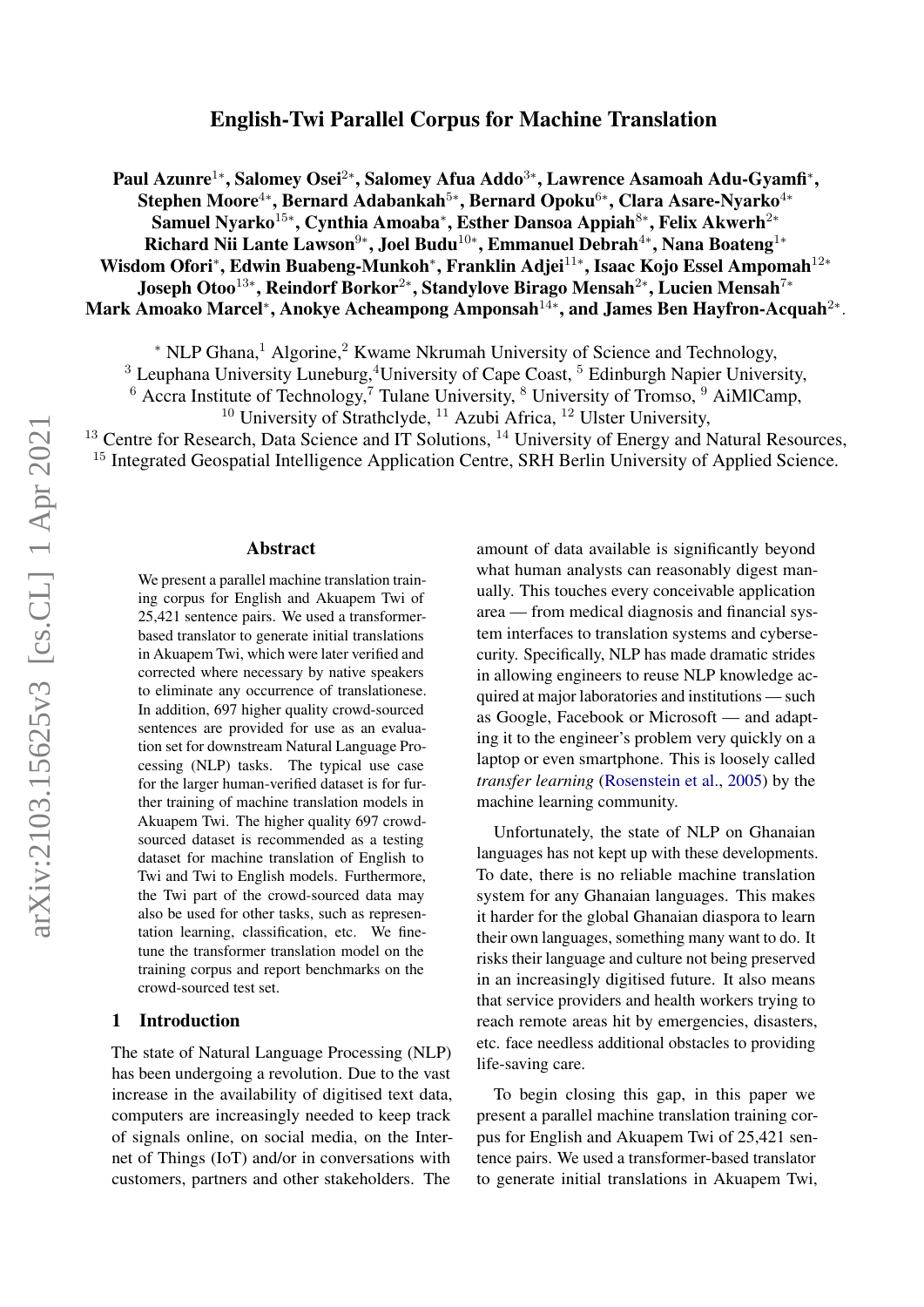# English-Twi Parallel Corpus for Machine Translation

Paul Azunre<sup>1</sup>\*, Salomey Osei<sup>2</sup>\*, Salomey Afua Addo<sup>3</sup>\*, Lawrence Asamoah Adu-Gyamfi\*, Stephen Moore $^{4*}$ , Bernard Adabankah $^{5*}$ , Bernard Opoku $^{6*}$ , Clara Asare-Nyarko $^{4*}$ Samuel Nyarko<sup>15</sup>\*, Cynthia Amoaba\*, Esther Dansoa Appiah<sup>8</sup>\*, Felix Akwerh<sup>2</sup>\* Richard Nii Lante Lawson<sup>9∗</sup>, Joel Budu<sup>10∗</sup>, Emmanuel Debrah<sup>4</sup>\*, Nana Boateng<sup>1</sup>\* Wisdom Ofori\*, Edwin Buabeng-Munkoh\*, Franklin Adjei<sup>11</sup>\*, Isaac Kojo Essel Ampomah<sup>12</sup>\* Joseph Otoo $^{13*}$ , Reindorf Borkor $^{2*}$ , Standylove Birago Mensah $^{2*}$ , Lucien Mensah $^{7*}$ Mark Amoako Marcel\*, Anokye Acheampong Amponsah $^{14*}$ , and James Ben Hayfron-Acquah $^{2*}.$ 

<sup>∗</sup> NLP Ghana,<sup>1</sup> Algorine,<sup>2</sup> Kwame Nkrumah University of Science and Technology,

<sup>3</sup> Leuphana University Luneburg,<sup>4</sup>University of Cape Coast, <sup>5</sup> Edinburgh Napier University,

 $6$  Accra Institute of Technology,<sup>7</sup> Tulane University,  $8$  University of Tromso,  $9$  AiMlCamp,

<sup>10</sup> University of Strathclyde, <sup>11</sup> Azubi Africa, <sup>12</sup> Ulster University,

<sup>13</sup> Centre for Research, Data Science and IT Solutions, <sup>14</sup> University of Energy and Natural Resources, <sup>15</sup> Integrated Geospatial Intelligence Application Centre, SRH Berlin University of Applied Science.

#### Abstract

We present a parallel machine translation training corpus for English and Akuapem Twi of 25,421 sentence pairs. We used a transformerbased translator to generate initial translations in Akuapem Twi, which were later verified and corrected where necessary by native speakers to eliminate any occurrence of translationese. In addition, 697 higher quality crowd-sourced sentences are provided for use as an evaluation set for downstream Natural Language Processing (NLP) tasks. The typical use case for the larger human-verified dataset is for further training of machine translation models in Akuapem Twi. The higher quality 697 crowdsourced dataset is recommended as a testing dataset for machine translation of English to Twi and Twi to English models. Furthermore, the Twi part of the crowd-sourced data may also be used for other tasks, such as representation learning, classification, etc. We finetune the transformer translation model on the training corpus and report benchmarks on the crowd-sourced test set.

### 1 Introduction

The state of Natural Language Processing (NLP) has been undergoing a revolution. Due to the vast increase in the availability of digitised text data, computers are increasingly needed to keep track of signals online, on social media, on the Internet of Things (IoT) and/or in conversations with customers, partners and other stakeholders. The amount of data available is significantly beyond what human analysts can reasonably digest manually. This touches every conceivable application area — from medical diagnosis and financial system interfaces to translation systems and cybersecurity. Specifically, NLP has made dramatic strides in allowing engineers to reuse NLP knowledge acquired at major laboratories and institutions — such as Google, Facebook or Microsoft — and adapting it to the engineer's problem very quickly on a laptop or even smartphone. This is loosely called *transfer learning* [\(Rosenstein et al.,](#page-8-0) [2005\)](#page-8-0) by the machine learning community.

Unfortunately, the state of NLP on Ghanaian languages has not kept up with these developments. To date, there is no reliable machine translation system for any Ghanaian languages. This makes it harder for the global Ghanaian diaspora to learn their own languages, something many want to do. It risks their language and culture not being preserved in an increasingly digitised future. It also means that service providers and health workers trying to reach remote areas hit by emergencies, disasters, etc. face needless additional obstacles to providing life-saving care.

To begin closing this gap, in this paper we present a parallel machine translation training corpus for English and Akuapem Twi of 25,421 sentence pairs. We used a transformer-based translator to generate initial translations in Akuapem Twi,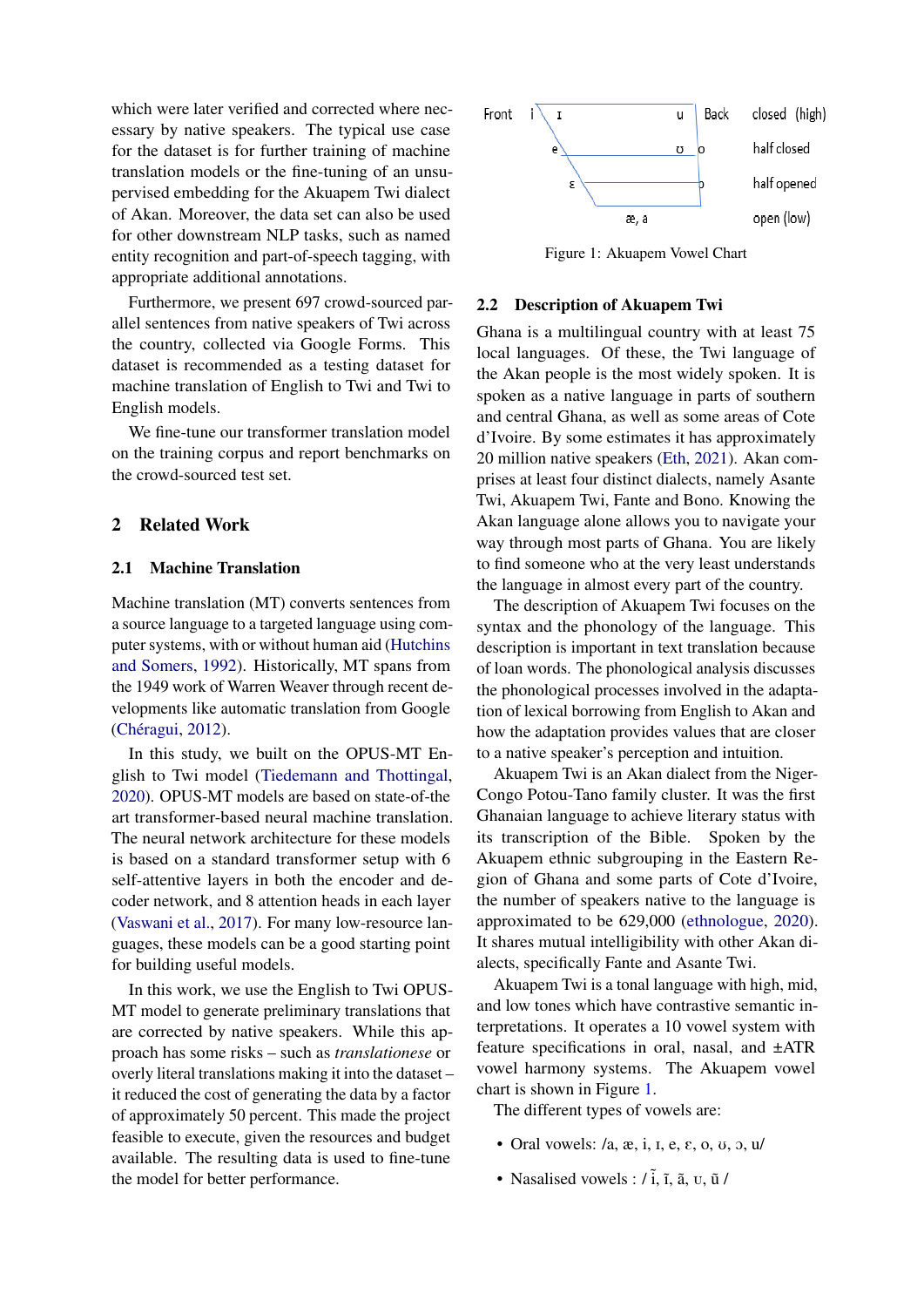which were later verified and corrected where necessary by native speakers. The typical use case for the dataset is for further training of machine translation models or the fine-tuning of an unsupervised embedding for the Akuapem Twi dialect of Akan. Moreover, the data set can also be used for other downstream NLP tasks, such as named entity recognition and part-of-speech tagging, with appropriate additional annotations.

Furthermore, we present 697 crowd-sourced parallel sentences from native speakers of Twi across the country, collected via Google Forms. This dataset is recommended as a testing dataset for machine translation of English to Twi and Twi to English models.

We fine-tune our transformer translation model on the training corpus and report benchmarks on the crowd-sourced test set.

### 2 Related Work

#### 2.1 Machine Translation

Machine translation (MT) converts sentences from a source language to a targeted language using computer systems, with or without human aid [\(Hutchins](#page-8-1) [and Somers,](#page-8-1) [1992\)](#page-8-1). Historically, MT spans from the 1949 work of Warren Weaver through recent developments like automatic translation from Google (Chéragui, [2012\)](#page-7-0).

In this study, we built on the OPUS-MT English to Twi model [\(Tiedemann and Thottingal,](#page-8-2) [2020\)](#page-8-2). OPUS-MT models are based on state-of-the art transformer-based neural machine translation. The neural network architecture for these models is based on a standard transformer setup with 6 self-attentive layers in both the encoder and decoder network, and 8 attention heads in each layer [\(Vaswani et al.,](#page-8-3) [2017\)](#page-8-3). For many low-resource languages, these models can be a good starting point for building useful models.

In this work, we use the English to Twi OPUS-MT model to generate preliminary translations that are corrected by native speakers. While this approach has some risks – such as *translationese* or overly literal translations making it into the dataset – it reduced the cost of generating the data by a factor of approximately 50 percent. This made the project feasible to execute, given the resources and budget available. The resulting data is used to fine-tune the model for better performance.

<span id="page-1-0"></span>

Figure 1: Akuapem Vowel Chart

### 2.2 Description of Akuapem Twi

Ghana is a multilingual country with at least 75 local languages. Of these, the Twi language of the Akan people is the most widely spoken. It is spoken as a native language in parts of southern and central Ghana, as well as some areas of Cote d'Ivoire. By some estimates it has approximately 20 million native speakers [\(Eth,](#page-7-1) [2021\)](#page-7-1). Akan comprises at least four distinct dialects, namely Asante Twi, Akuapem Twi, Fante and Bono. Knowing the Akan language alone allows you to navigate your way through most parts of Ghana. You are likely to find someone who at the very least understands the language in almost every part of the country.

The description of Akuapem Twi focuses on the syntax and the phonology of the language. This description is important in text translation because of loan words. The phonological analysis discusses the phonological processes involved in the adaptation of lexical borrowing from English to Akan and how the adaptation provides values that are closer to a native speaker's perception and intuition.

Akuapem Twi is an Akan dialect from the Niger-Congo Potou-Tano family cluster. It was the first Ghanaian language to achieve literary status with its transcription of the Bible. Spoken by the Akuapem ethnic subgrouping in the Eastern Region of Ghana and some parts of Cote d'Ivoire, the number of speakers native to the language is approximated to be 629,000 [\(ethnologue,](#page-7-2) [2020\)](#page-7-2). It shares mutual intelligibility with other Akan dialects, specifically Fante and Asante Twi.

Akuapem Twi is a tonal language with high, mid, and low tones which have contrastive semantic interpretations. It operates a 10 vowel system with feature specifications in oral, nasal, and ±ATR vowel harmony systems. The Akuapem vowel chart is shown in Figure [1.](#page-1-0)

The different types of vowels are:

- Oral vowels:  $/a$ ,  $\alpha$ ,  $i$ ,  $i$ ,  $e$ ,  $\varepsilon$ ,  $o$ ,  $v$ ,  $o$ ,  $u$
- Nasalised vowels :  $/\tilde{i}$ ,  $\tilde{i}$ ,  $\tilde{a}$ ,  $\tilde{u}$ ,  $\tilde{u}$  /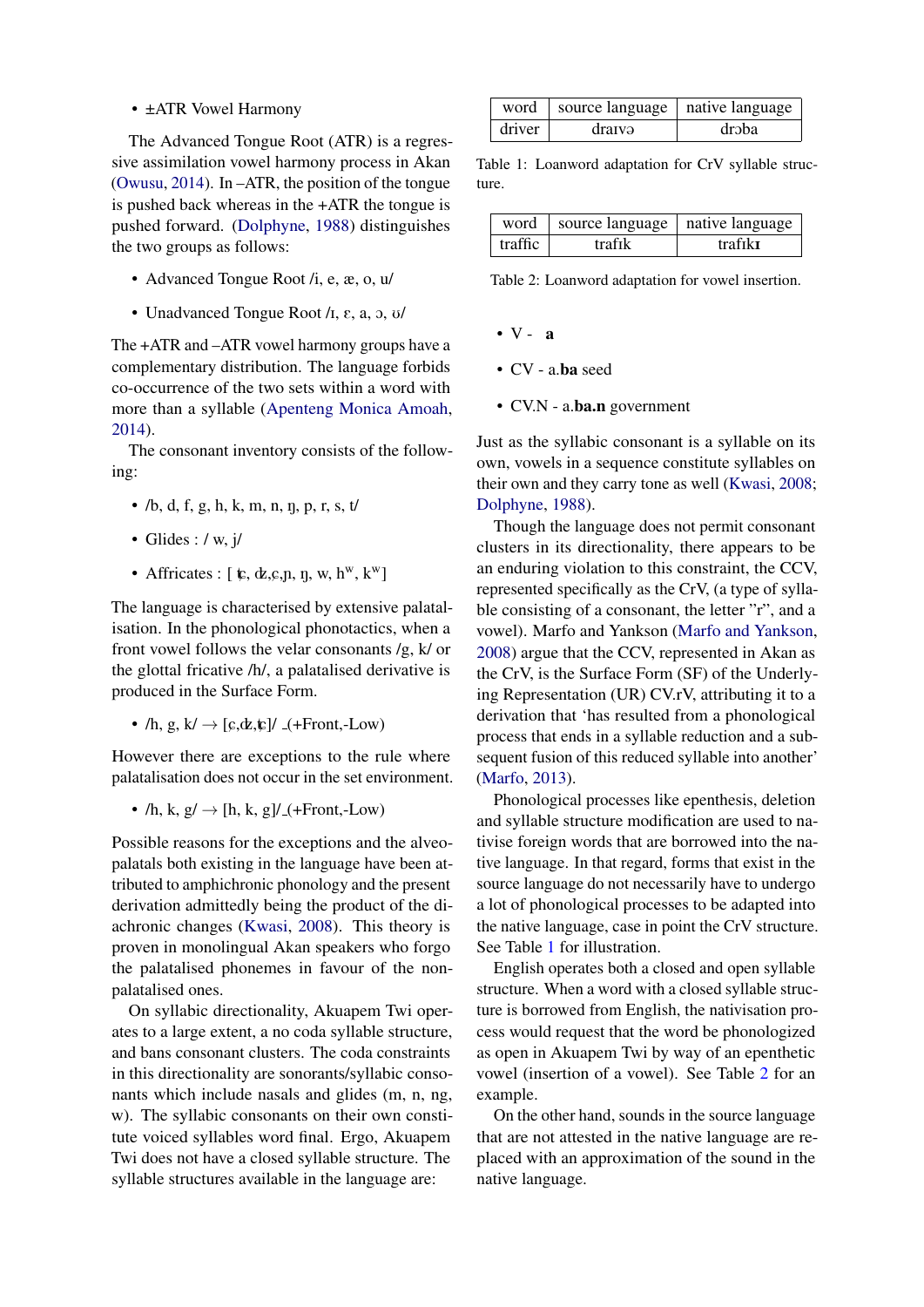• ±ATR Vowel Harmony

The Advanced Tongue Root (ATR) is a regressive assimilation vowel harmony process in Akan [\(Owusu,](#page-8-4) [2014\)](#page-8-4). In –ATR, the position of the tongue is pushed back whereas in the +ATR the tongue is pushed forward. [\(Dolphyne,](#page-7-3) [1988\)](#page-7-3) distinguishes the two groups as follows:

- Advanced Tongue Root /i, e, æ, o, u/
- Unadvanced Tongue Root  $\lambda$ ,  $\varepsilon$ ,  $a$ ,  $b$ ,  $\lambda$

The +ATR and –ATR vowel harmony groups have a complementary distribution. The language forbids co-occurrence of the two sets within a word with more than a syllable [\(Apenteng Monica Amoah,](#page-7-4) [2014\)](#page-7-4).

The consonant inventory consists of the following:

- /b, d, f, g, h, k, m, n, n, p, r, s, t/
- Glides :  $/w$ ,  $i/$
- Affricates :  $[\mathbf{t}, \mathbf{d}, \mathbf{c}, \mathbf{n}, \mathbf{n}, \mathbf{w}, \mathbf{h}^{\mathbf{w}}, \mathbf{k}^{\mathbf{w}}]$

The language is characterised by extensive palatalisation. In the phonological phonotactics, when a front vowel follows the velar consonants /g, k/ or the glottal fricative /h/, a palatalised derivative is produced in the Surface Form.

•  $/h$ ,  $g$ ,  $k' \rightarrow [c,dk,k]/($ +Front,-Low)

However there are exceptions to the rule where palatalisation does not occur in the set environment.

•  $/h$ , k, g $/ \rightarrow [h, k, g]/(+Front, - Low)$ 

Possible reasons for the exceptions and the alveopalatals both existing in the language have been attributed to amphichronic phonology and the present derivation admittedly being the product of the diachronic changes [\(Kwasi,](#page-8-5) [2008\)](#page-8-5). This theory is proven in monolingual Akan speakers who forgo the palatalised phonemes in favour of the nonpalatalised ones.

On syllabic directionality, Akuapem Twi operates to a large extent, a no coda syllable structure, and bans consonant clusters. The coda constraints in this directionality are sonorants/syllabic consonants which include nasals and glides (m, n, ng, w). The syllabic consonants on their own constitute voiced syllables word final. Ergo, Akuapem Twi does not have a closed syllable structure. The syllable structures available in the language are:

<span id="page-2-0"></span>

| word i | source language   native language |       |
|--------|-----------------------------------|-------|
| driver | dratvə                            | drəba |

Table 1: Loanword adaptation for CrV syllable structure.

<span id="page-2-1"></span>

|         | word   source language   native language |         |
|---------|------------------------------------------|---------|
| traffic | trafik                                   | trafikt |

Table 2: Loanword adaptation for vowel insertion.

- $\bullet$  V a
- CV a.ba seed
- CV.N a.ba.n government

Just as the syllabic consonant is a syllable on its own, vowels in a sequence constitute syllables on their own and they carry tone as well [\(Kwasi,](#page-8-5) [2008;](#page-8-5) [Dolphyne,](#page-7-3) [1988\)](#page-7-3).

Though the language does not permit consonant clusters in its directionality, there appears to be an enduring violation to this constraint, the CCV, represented specifically as the CrV, (a type of syllable consisting of a consonant, the letter "r", and a vowel). Marfo and Yankson [\(Marfo and Yankson,](#page-8-6) [2008\)](#page-8-6) argue that the CCV, represented in Akan as the CrV, is the Surface Form (SF) of the Underlying Representation (UR) CV.rV, attributing it to a derivation that 'has resulted from a phonological process that ends in a syllable reduction and a subsequent fusion of this reduced syllable into another' [\(Marfo,](#page-8-7) [2013\)](#page-8-7).

Phonological processes like epenthesis, deletion and syllable structure modification are used to nativise foreign words that are borrowed into the native language. In that regard, forms that exist in the source language do not necessarily have to undergo a lot of phonological processes to be adapted into the native language, case in point the CrV structure. See Table [1](#page-2-0) for illustration.

English operates both a closed and open syllable structure. When a word with a closed syllable structure is borrowed from English, the nativisation process would request that the word be phonologized as open in Akuapem Twi by way of an epenthetic vowel (insertion of a vowel). See Table [2](#page-2-1) for an example.

On the other hand, sounds in the source language that are not attested in the native language are replaced with an approximation of the sound in the native language.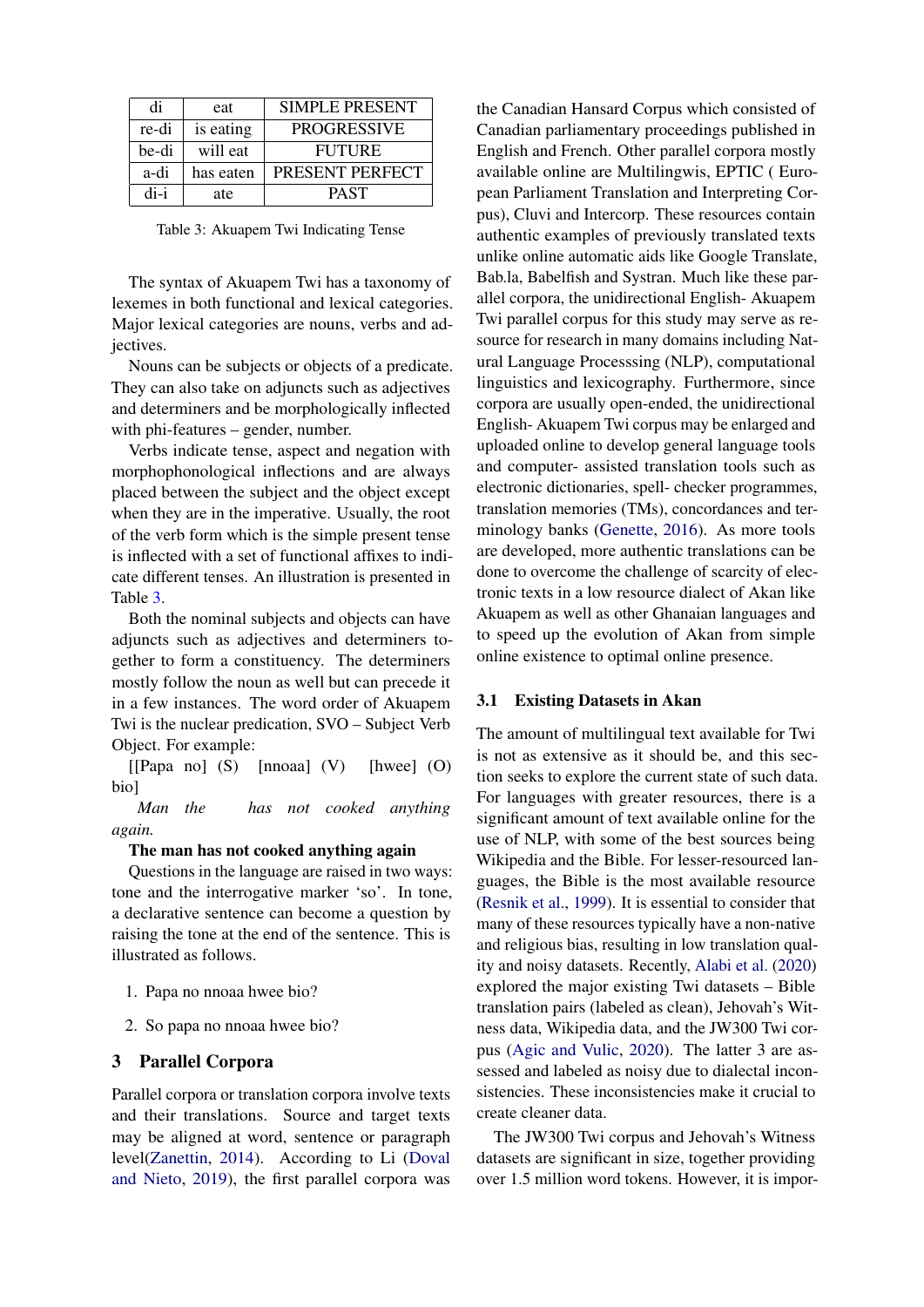<span id="page-3-0"></span>

| di    | eat       | <b>SIMPLE PRESENT</b> |
|-------|-----------|-----------------------|
| re-di | is eating | <b>PROGRESSIVE</b>    |
| be-di | will eat  | <b>FUTURE</b>         |
| a-di  | has eaten | PRESENT PERFECT       |
| di-i  | ate       | <b>PAST</b>           |

Table 3: Akuapem Twi Indicating Tense

The syntax of Akuapem Twi has a taxonomy of lexemes in both functional and lexical categories. Major lexical categories are nouns, verbs and adjectives.

Nouns can be subjects or objects of a predicate. They can also take on adjuncts such as adjectives and determiners and be morphologically inflected with phi-features – gender, number.

Verbs indicate tense, aspect and negation with morphophonological inflections and are always placed between the subject and the object except when they are in the imperative. Usually, the root of the verb form which is the simple present tense is inflected with a set of functional affixes to indicate different tenses. An illustration is presented in Table [3.](#page-3-0)

Both the nominal subjects and objects can have adjuncts such as adjectives and determiners together to form a constituency. The determiners mostly follow the noun as well but can precede it in a few instances. The word order of Akuapem Twi is the nuclear predication, SVO – Subject Verb Object. For example:

 $[$ [Papa no]  $(S)$  [nnoaa]  $(V)$  [hwee]  $(O)$ bio]

*Man the has not cooked anything again.*

#### The man has not cooked anything again

Questions in the language are raised in two ways: tone and the interrogative marker 'so'. In tone, a declarative sentence can become a question by raising the tone at the end of the sentence. This is illustrated as follows.

- 1. Papa no nnoaa hwee bio?
- 2. So papa no nnoaa hwee bio?

#### 3 Parallel Corpora

Parallel corpora or translation corpora involve texts and their translations. Source and target texts may be aligned at word, sentence or paragraph level[\(Zanettin,](#page-8-8) [2014\)](#page-8-8). According to Li [\(Doval](#page-7-5) [and Nieto,](#page-7-5) [2019\)](#page-7-5), the first parallel corpora was the Canadian Hansard Corpus which consisted of Canadian parliamentary proceedings published in English and French. Other parallel corpora mostly available online are Multilingwis, EPTIC ( European Parliament Translation and Interpreting Corpus), Cluvi and Intercorp. These resources contain authentic examples of previously translated texts unlike online automatic aids like Google Translate, Bab.la, Babelfish and Systran. Much like these parallel corpora, the unidirectional English- Akuapem Twi parallel corpus for this study may serve as resource for research in many domains including Natural Language Processsing (NLP), computational linguistics and lexicography. Furthermore, since corpora are usually open-ended, the unidirectional English- Akuapem Twi corpus may be enlarged and uploaded online to develop general language tools and computer- assisted translation tools such as electronic dictionaries, spell- checker programmes, translation memories (TMs), concordances and terminology banks [\(Genette,](#page-8-9) [2016\)](#page-8-9). As more tools are developed, more authentic translations can be done to overcome the challenge of scarcity of electronic texts in a low resource dialect of Akan like Akuapem as well as other Ghanaian languages and to speed up the evolution of Akan from simple online existence to optimal online presence.

#### 3.1 Existing Datasets in Akan

The amount of multilingual text available for Twi is not as extensive as it should be, and this section seeks to explore the current state of such data. For languages with greater resources, there is a significant amount of text available online for the use of NLP, with some of the best sources being Wikipedia and the Bible. For lesser-resourced languages, the Bible is the most available resource [\(Resnik et al.,](#page-8-10) [1999\)](#page-8-10). It is essential to consider that many of these resources typically have a non-native and religious bias, resulting in low translation quality and noisy datasets. Recently, [Alabi et al.](#page-7-6) [\(2020\)](#page-7-6) explored the major existing Twi datasets – Bible translation pairs (labeled as clean), Jehovah's Witness data, Wikipedia data, and the JW300 Twi corpus [\(Agic and Vulic,](#page-7-7) [2020\)](#page-7-7). The latter 3 are assessed and labeled as noisy due to dialectal inconsistencies. These inconsistencies make it crucial to create cleaner data.

The JW300 Twi corpus and Jehovah's Witness datasets are significant in size, together providing over 1.5 million word tokens. However, it is impor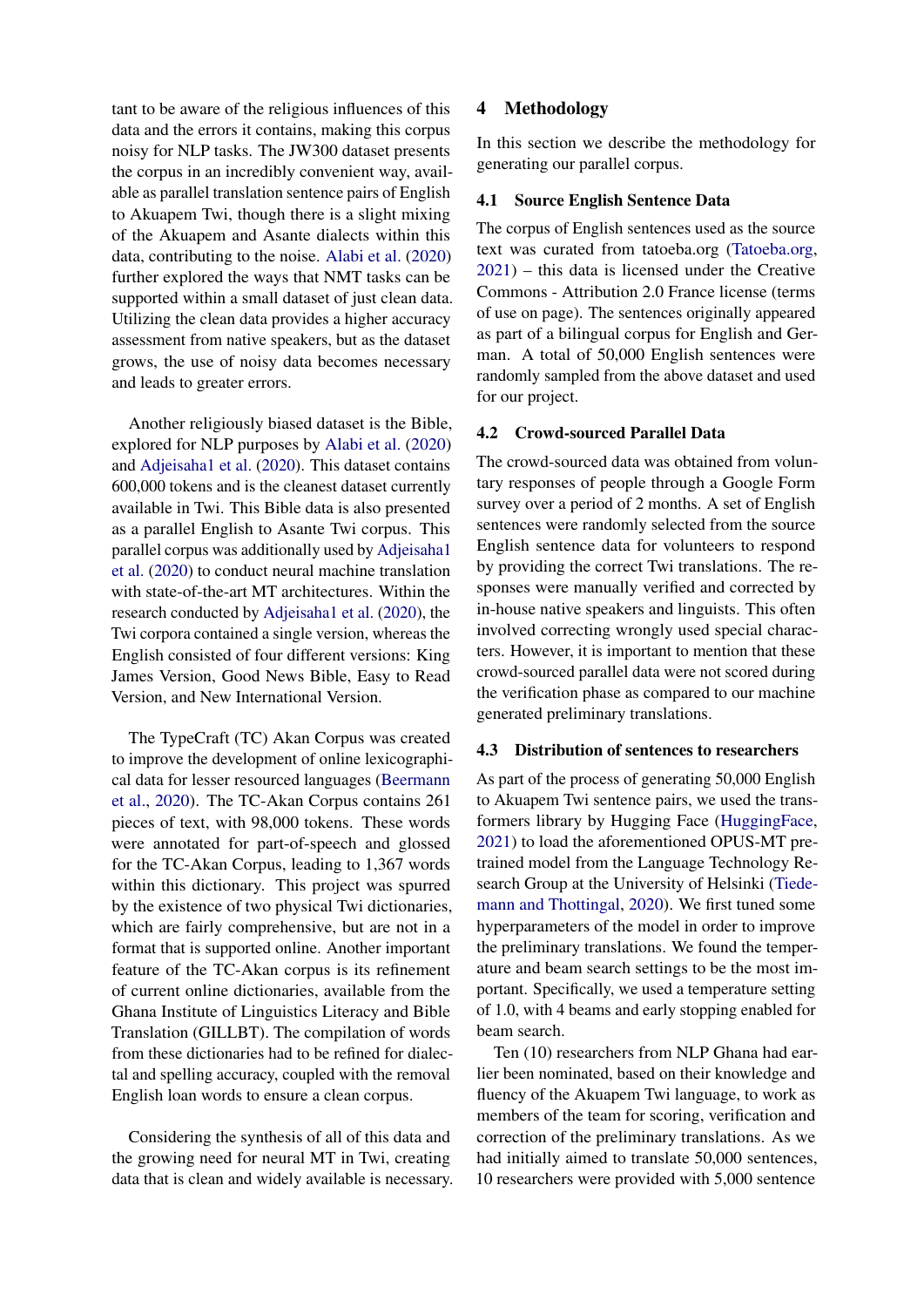tant to be aware of the religious influences of this data and the errors it contains, making this corpus noisy for NLP tasks. The JW300 dataset presents the corpus in an incredibly convenient way, available as parallel translation sentence pairs of English to Akuapem Twi, though there is a slight mixing of the Akuapem and Asante dialects within this data, contributing to the noise. [Alabi et al.](#page-7-6) [\(2020\)](#page-7-6) further explored the ways that NMT tasks can be supported within a small dataset of just clean data. Utilizing the clean data provides a higher accuracy assessment from native speakers, but as the dataset grows, the use of noisy data becomes necessary and leads to greater errors.

Another religiously biased dataset is the Bible, explored for NLP purposes by [Alabi et al.](#page-7-6) [\(2020\)](#page-7-6) and [Adjeisaha1 et al.](#page-7-8) [\(2020\)](#page-7-8). This dataset contains 600,000 tokens and is the cleanest dataset currently available in Twi. This Bible data is also presented as a parallel English to Asante Twi corpus. This parallel corpus was additionally used by [Adjeisaha1](#page-7-8) [et al.](#page-7-8) [\(2020\)](#page-7-8) to conduct neural machine translation with state-of-the-art MT architectures. Within the research conducted by [Adjeisaha1 et al.](#page-7-8) [\(2020\)](#page-7-8), the Twi corpora contained a single version, whereas the English consisted of four different versions: King James Version, Good News Bible, Easy to Read Version, and New International Version.

The TypeCraft (TC) Akan Corpus was created to improve the development of online lexicographical data for lesser resourced languages [\(Beermann](#page-7-9) [et al.,](#page-7-9) [2020\)](#page-7-9). The TC-Akan Corpus contains 261 pieces of text, with 98,000 tokens. These words were annotated for part-of-speech and glossed for the TC-Akan Corpus, leading to 1,367 words within this dictionary. This project was spurred by the existence of two physical Twi dictionaries, which are fairly comprehensive, but are not in a format that is supported online. Another important feature of the TC-Akan corpus is its refinement of current online dictionaries, available from the Ghana Institute of Linguistics Literacy and Bible Translation (GILLBT). The compilation of words from these dictionaries had to be refined for dialectal and spelling accuracy, coupled with the removal English loan words to ensure a clean corpus.

Considering the synthesis of all of this data and the growing need for neural MT in Twi, creating data that is clean and widely available is necessary.

### 4 Methodology

In this section we describe the methodology for generating our parallel corpus.

#### 4.1 Source English Sentence Data

The corpus of English sentences used as the source text was curated from tatoeba.org [\(Tatoeba.org,](#page-8-11) [2021\)](#page-8-11) – this data is licensed under the Creative Commons - Attribution 2.0 France license (terms of use on page). The sentences originally appeared as part of a bilingual corpus for English and German. A total of 50,000 English sentences were randomly sampled from the above dataset and used for our project.

# 4.2 Crowd-sourced Parallel Data

The crowd-sourced data was obtained from voluntary responses of people through a Google Form survey over a period of 2 months. A set of English sentences were randomly selected from the source English sentence data for volunteers to respond by providing the correct Twi translations. The responses were manually verified and corrected by in-house native speakers and linguists. This often involved correcting wrongly used special characters. However, it is important to mention that these crowd-sourced parallel data were not scored during the verification phase as compared to our machine generated preliminary translations.

### 4.3 Distribution of sentences to researchers

As part of the process of generating 50,000 English to Akuapem Twi sentence pairs, we used the transformers library by Hugging Face [\(HuggingFace,](#page-8-12) [2021\)](#page-8-12) to load the aforementioned OPUS-MT pretrained model from the Language Technology Research Group at the University of Helsinki [\(Tiede](#page-8-2)[mann and Thottingal,](#page-8-2) [2020\)](#page-8-2). We first tuned some hyperparameters of the model in order to improve the preliminary translations. We found the temperature and beam search settings to be the most important. Specifically, we used a temperature setting of 1.0, with 4 beams and early stopping enabled for beam search.

Ten (10) researchers from NLP Ghana had earlier been nominated, based on their knowledge and fluency of the Akuapem Twi language, to work as members of the team for scoring, verification and correction of the preliminary translations. As we had initially aimed to translate 50,000 sentences, 10 researchers were provided with 5,000 sentence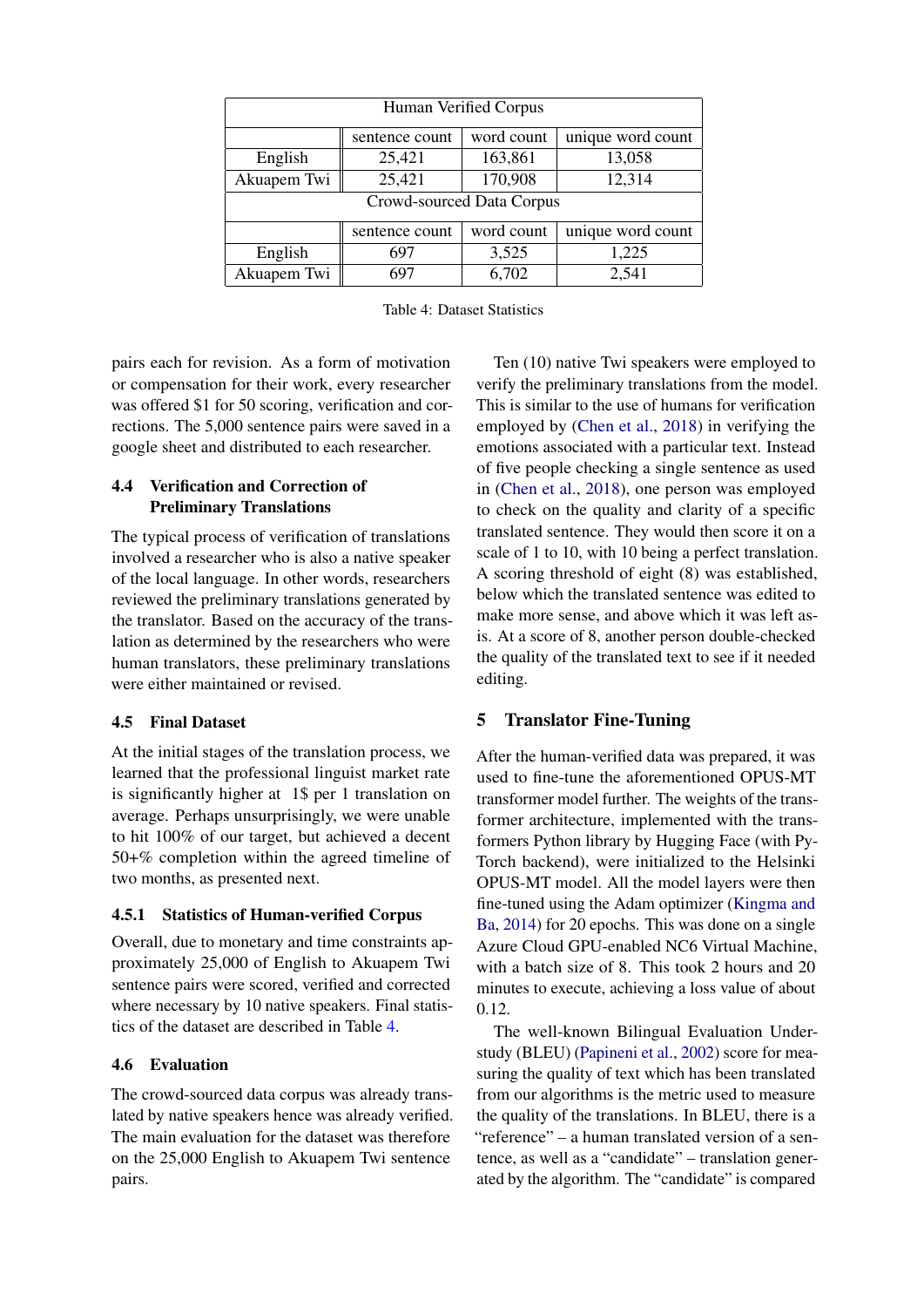<span id="page-5-0"></span>

| Human Verified Corpus     |                |            |                   |  |  |
|---------------------------|----------------|------------|-------------------|--|--|
|                           | sentence count | word count | unique word count |  |  |
| English                   | 25,421         | 163,861    | 13,058            |  |  |
| Akuapem Twi               | 25,421         | 170,908    | 12,314            |  |  |
| Crowd-sourced Data Corpus |                |            |                   |  |  |
|                           | sentence count | word count | unique word count |  |  |
| English                   | 697            | 3,525      | 1,225             |  |  |
| Akuapem Twi               | 697            | 6,702      | 2,541             |  |  |

Table 4: Dataset Statistics

pairs each for revision. As a form of motivation or compensation for their work, every researcher was offered \$1 for 50 scoring, verification and corrections. The 5,000 sentence pairs were saved in a google sheet and distributed to each researcher.

# 4.4 Verification and Correction of Preliminary Translations

The typical process of verification of translations involved a researcher who is also a native speaker of the local language. In other words, researchers reviewed the preliminary translations generated by the translator. Based on the accuracy of the translation as determined by the researchers who were human translators, these preliminary translations were either maintained or revised.

# 4.5 Final Dataset

At the initial stages of the translation process, we learned that the professional linguist market rate is significantly higher at 1\$ per 1 translation on average. Perhaps unsurprisingly, we were unable to hit 100% of our target, but achieved a decent 50+% completion within the agreed timeline of two months, as presented next.

# 4.5.1 Statistics of Human-verified Corpus

Overall, due to monetary and time constraints approximately 25,000 of English to Akuapem Twi sentence pairs were scored, verified and corrected where necessary by 10 native speakers. Final statistics of the dataset are described in Table [4.](#page-5-0)

# 4.6 Evaluation

The crowd-sourced data corpus was already translated by native speakers hence was already verified. The main evaluation for the dataset was therefore on the 25,000 English to Akuapem Twi sentence pairs.

Ten (10) native Twi speakers were employed to verify the preliminary translations from the model. This is similar to the use of humans for verification employed by [\(Chen et al.,](#page-7-10) [2018\)](#page-7-10) in verifying the emotions associated with a particular text. Instead of five people checking a single sentence as used in [\(Chen et al.,](#page-7-10) [2018\)](#page-7-10), one person was employed to check on the quality and clarity of a specific translated sentence. They would then score it on a scale of 1 to 10, with 10 being a perfect translation. A scoring threshold of eight (8) was established, below which the translated sentence was edited to make more sense, and above which it was left asis. At a score of 8, another person double-checked the quality of the translated text to see if it needed editing.

# 5 Translator Fine-Tuning

After the human-verified data was prepared, it was used to fine-tune the aforementioned OPUS-MT transformer model further. The weights of the transformer architecture, implemented with the transformers Python library by Hugging Face (with Py-Torch backend), were initialized to the Helsinki OPUS-MT model. All the model layers were then fine-tuned using the Adam optimizer [\(Kingma and](#page-8-13) [Ba,](#page-8-13) [2014\)](#page-8-13) for 20 epochs. This was done on a single Azure Cloud GPU-enabled NC6 Virtual Machine, with a batch size of 8. This took 2 hours and 20 minutes to execute, achieving a loss value of about 0.12.

The well-known Bilingual Evaluation Understudy (BLEU) [\(Papineni et al.,](#page-8-14) [2002\)](#page-8-14) score for measuring the quality of text which has been translated from our algorithms is the metric used to measure the quality of the translations. In BLEU, there is a "reference" – a human translated version of a sentence, as well as a "candidate" – translation generated by the algorithm. The "candidate" is compared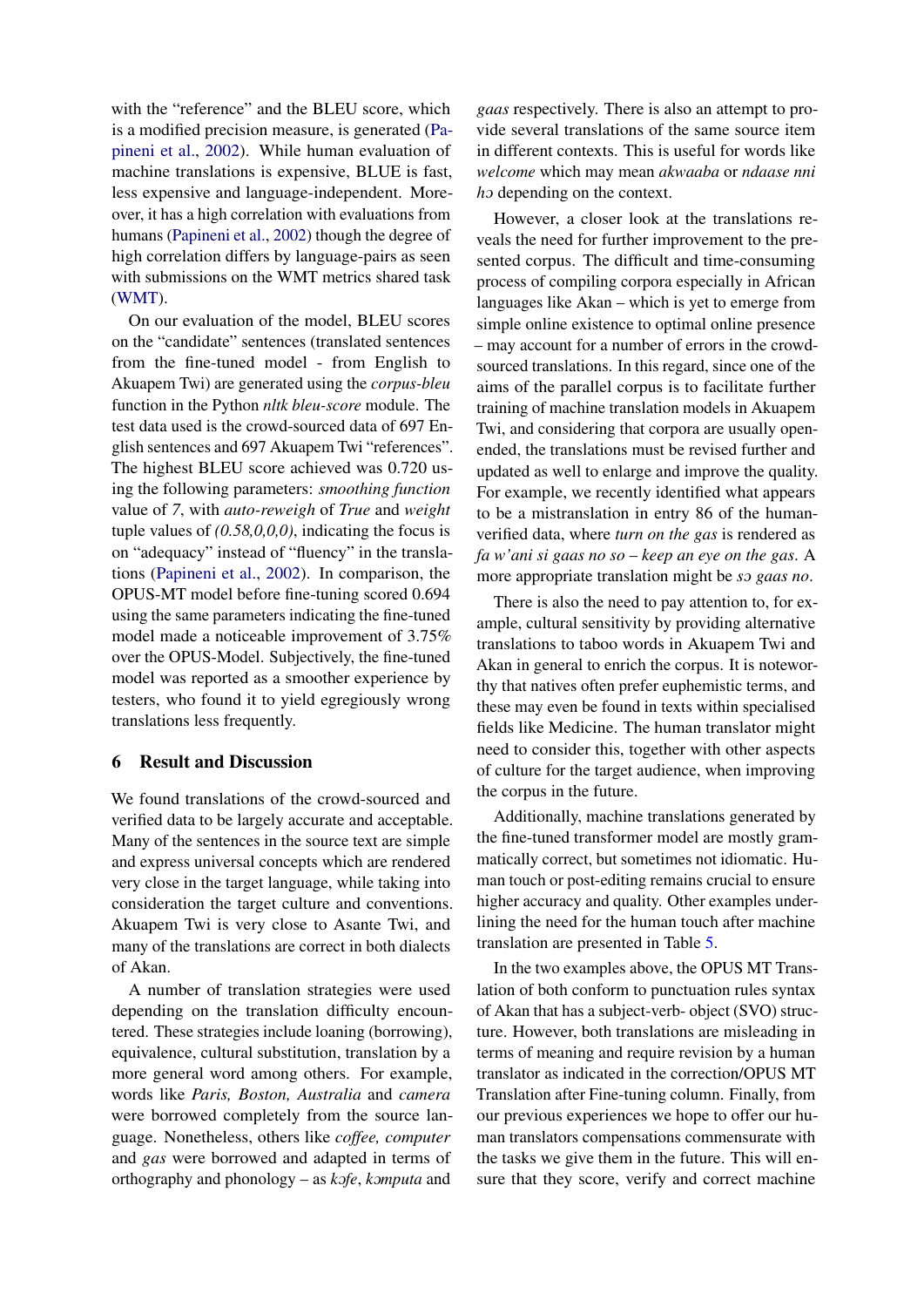with the "reference" and the BLEU score, which is a modified precision measure, is generated [\(Pa](#page-8-14)[pineni et al.,](#page-8-14) [2002\)](#page-8-14). While human evaluation of machine translations is expensive, BLUE is fast, less expensive and language-independent. Moreover, it has a high correlation with evaluations from humans [\(Papineni et al.,](#page-8-14) [2002\)](#page-8-14) though the degree of high correlation differs by language-pairs as seen with submissions on the WMT metrics shared task [\(WMT\)](#page-7-11).

On our evaluation of the model, BLEU scores on the "candidate" sentences (translated sentences from the fine-tuned model - from English to Akuapem Twi) are generated using the *corpus-bleu* function in the Python *nltk bleu-score* module. The test data used is the crowd-sourced data of 697 English sentences and 697 Akuapem Twi "references". The highest BLEU score achieved was 0.720 using the following parameters: *smoothing function* value of *7*, with *auto-reweigh* of *True* and *weight* tuple values of *(0.58,0,0,0)*, indicating the focus is on "adequacy" instead of "fluency" in the translations [\(Papineni et al.,](#page-8-14) [2002\)](#page-8-14). In comparison, the OPUS-MT model before fine-tuning scored 0.694 using the same parameters indicating the fine-tuned model made a noticeable improvement of 3.75% over the OPUS-Model. Subjectively, the fine-tuned model was reported as a smoother experience by testers, who found it to yield egregiously wrong translations less frequently.

# 6 Result and Discussion

We found translations of the crowd-sourced and verified data to be largely accurate and acceptable. Many of the sentences in the source text are simple and express universal concepts which are rendered very close in the target language, while taking into consideration the target culture and conventions. Akuapem Twi is very close to Asante Twi, and many of the translations are correct in both dialects of Akan.

A number of translation strategies were used depending on the translation difficulty encountered. These strategies include loaning (borrowing), equivalence, cultural substitution, translation by a more general word among others. For example, words like *Paris, Boston, Australia* and *camera* were borrowed completely from the source language. Nonetheless, others like *coffee, computer* and *gas* were borrowed and adapted in terms of orthography and phonology – as  $k$ ofe, *komputa* and *gaas* respectively. There is also an attempt to provide several translations of the same source item in different contexts. This is useful for words like *welcome* which may mean *akwaaba* or *ndaase nni h*o depending on the context.

However, a closer look at the translations reveals the need for further improvement to the presented corpus. The difficult and time-consuming process of compiling corpora especially in African languages like Akan – which is yet to emerge from simple online existence to optimal online presence – may account for a number of errors in the crowdsourced translations. In this regard, since one of the aims of the parallel corpus is to facilitate further training of machine translation models in Akuapem Twi, and considering that corpora are usually openended, the translations must be revised further and updated as well to enlarge and improve the quality. For example, we recently identified what appears to be a mistranslation in entry 86 of the humanverified data, where *turn on the gas* is rendered as *fa w'ani si gaas no so* – *keep an eye on the gas*. A more appropriate translation might be *so gaas no*.

There is also the need to pay attention to, for example, cultural sensitivity by providing alternative translations to taboo words in Akuapem Twi and Akan in general to enrich the corpus. It is noteworthy that natives often prefer euphemistic terms, and these may even be found in texts within specialised fields like Medicine. The human translator might need to consider this, together with other aspects of culture for the target audience, when improving the corpus in the future.

Additionally, machine translations generated by the fine-tuned transformer model are mostly grammatically correct, but sometimes not idiomatic. Human touch or post-editing remains crucial to ensure higher accuracy and quality. Other examples underlining the need for the human touch after machine translation are presented in Table [5.](#page-7-12)

In the two examples above, the OPUS MT Translation of both conform to punctuation rules syntax of Akan that has a subject-verb- object (SVO) structure. However, both translations are misleading in terms of meaning and require revision by a human translator as indicated in the correction/OPUS MT Translation after Fine-tuning column. Finally, from our previous experiences we hope to offer our human translators compensations commensurate with the tasks we give them in the future. This will ensure that they score, verify and correct machine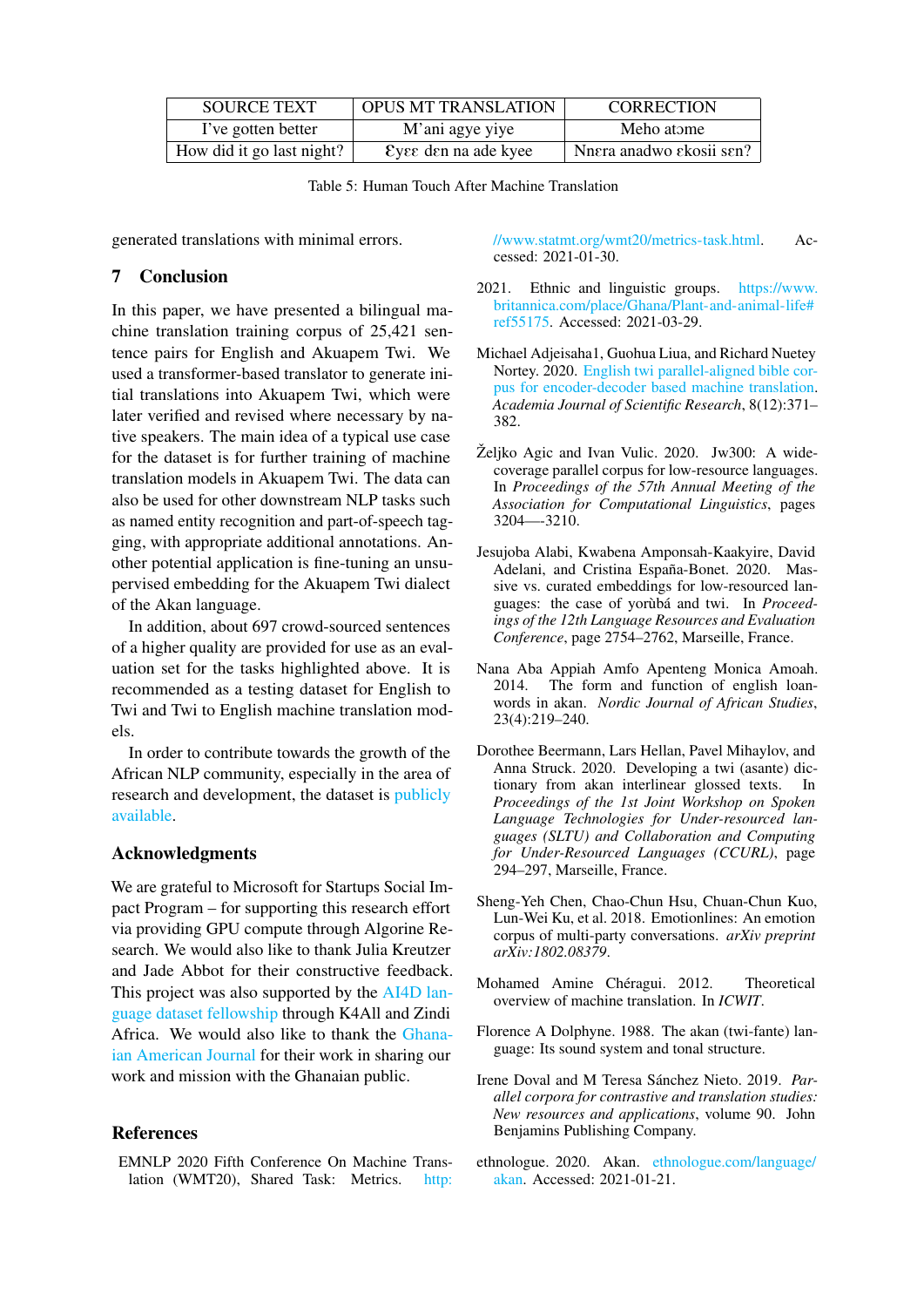<span id="page-7-12"></span>

| <b>SOURCE TEXT</b>        | <b>OPUS MT TRANSLATION</b>     | <b>CORRECTION</b>        |
|---------------------------|--------------------------------|--------------------------|
| I've gotten better        | M'ani agye yiye                | Meho atome               |
| How did it go last night? | $\epsilon$ vee den na ade kyee | Nnera anadwo ekosii sen? |

Table 5: Human Touch After Machine Translation

generated translations with minimal errors.

## 7 Conclusion

In this paper, we have presented a bilingual machine translation training corpus of 25,421 sentence pairs for English and Akuapem Twi. We used a transformer-based translator to generate initial translations into Akuapem Twi, which were later verified and revised where necessary by native speakers. The main idea of a typical use case for the dataset is for further training of machine translation models in Akuapem Twi. The data can also be used for other downstream NLP tasks such as named entity recognition and part-of-speech tagging, with appropriate additional annotations. Another potential application is fine-tuning an unsupervised embedding for the Akuapem Twi dialect of the Akan language.

In addition, about 697 crowd-sourced sentences of a higher quality are provided for use as an evaluation set for the tasks highlighted above. It is recommended as a testing dataset for English to Twi and Twi to English machine translation models.

In order to contribute towards the growth of the African NLP community, especially in the area of research and development, the dataset is [publicly](https://zenodo.org/record/4432117#.YF5rndKSk2y) [available.](https://zenodo.org/record/4432117#.YF5rndKSk2y)

## Acknowledgments

We are grateful to Microsoft for Startups Social Impact Program – for supporting this research effort via providing GPU compute through Algorine Research. We would also like to thank Julia Kreutzer and Jade Abbot for their constructive feedback. This project was also supported by the [AI4D lan](https://www.k4all.org/project/language-dataset-fellowship/)[guage dataset fellowship](https://www.k4all.org/project/language-dataset-fellowship/) through K4All and Zindi Africa. We would also like to thank the [Ghana](https://gajreport.com)[ian American Journal](https://gajreport.com) for their work in sharing our work and mission with the Ghanaian public.

## References

<span id="page-7-11"></span>EMNLP 2020 Fifth Conference On Machine Translation (WMT20), Shared Task: Metrics. [http:](http://www.statmt.org/wmt20/metrics-task.html) [//www.statmt.org/wmt20/metrics-task.html.](http://www.statmt.org/wmt20/metrics-task.html) Accessed: 2021-01-30.

- <span id="page-7-1"></span>2021. Ethnic and linguistic groups. [https://www.](https://www.britannica.com/place/Ghana/Plant-and-animal-life#ref55175) [britannica.com/place/Ghana/Plant-and-animal-life#](https://www.britannica.com/place/Ghana/Plant-and-animal-life#ref55175) [ref55175.](https://www.britannica.com/place/Ghana/Plant-and-animal-life#ref55175) Accessed: 2021-03-29.
- <span id="page-7-8"></span>Michael Adjeisaha1, Guohua Liua, and Richard Nuetey Nortey. 2020. [English twi parallel-aligned bible cor](https://doi.org/10.15413/ajsr.2020.0138)[pus for encoder-decoder based machine translation.](https://doi.org/10.15413/ajsr.2020.0138) *Academia Journal of Scientific Research*, 8(12):371– 382.
- <span id="page-7-7"></span> $\check{Z}$ eljko Agic and Ivan Vulic. 2020. Jw300: A widecoverage parallel corpus for low-resource languages. In *Proceedings of the 57th Annual Meeting of the Association for Computational Linguistics*, pages 3204—-3210.
- <span id="page-7-6"></span>Jesujoba Alabi, Kwabena Amponsah-Kaakyire, David Adelani, and Cristina España-Bonet. 2020. Massive vs. curated embeddings for low-resourced languages: the case of yorùbá and twi. In Proceed*ings of the 12th Language Resources and Evaluation Conference*, page 2754–2762, Marseille, France.
- <span id="page-7-4"></span>Nana Aba Appiah Amfo Apenteng Monica Amoah. 2014. The form and function of english loanwords in akan. *Nordic Journal of African Studies*, 23(4):219–240.
- <span id="page-7-9"></span>Dorothee Beermann, Lars Hellan, Pavel Mihaylov, and Anna Struck. 2020. Developing a twi (asante) dictionary from akan interlinear glossed texts. In *Proceedings of the 1st Joint Workshop on Spoken Language Technologies for Under-resourced languages (SLTU) and Collaboration and Computing for Under-Resourced Languages (CCURL)*, page 294–297, Marseille, France.
- <span id="page-7-10"></span>Sheng-Yeh Chen, Chao-Chun Hsu, Chuan-Chun Kuo, Lun-Wei Ku, et al. 2018. Emotionlines: An emotion corpus of multi-party conversations. *arXiv preprint arXiv:1802.08379*.
- <span id="page-7-0"></span>Mohamed Amine Chéragui. 2012. Theoretical overview of machine translation. In *ICWIT*.
- <span id="page-7-3"></span>Florence A Dolphyne. 1988. The akan (twi-fante) language: Its sound system and tonal structure.
- <span id="page-7-5"></span>Irene Doval and M Teresa Sánchez Nieto. 2019. Par*allel corpora for contrastive and translation studies: New resources and applications*, volume 90. John Benjamins Publishing Company.
- <span id="page-7-2"></span>ethnologue. 2020. Akan. [ethnologue.com/language/]( ethnologue.com/language/akan) [akan.]( ethnologue.com/language/akan) Accessed: 2021-01-21.